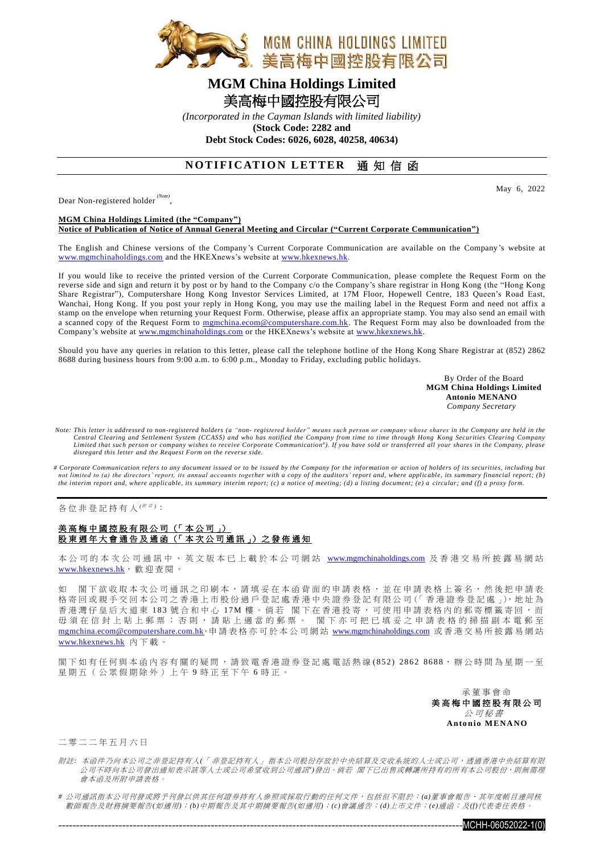

# **MGM China Holdings Limited** 美高梅中國控股有限公司

*(Incorporated in the Cayman Islands with limited liability)*

**(Stock Code: 2282 and Debt Stock Codes: 6026, 6028, 40258, 40634)**

## **NOTIFICATION LETTER 通知信函**

May 6, 2022

Dear Non-registered holder *(Note)* ,

#### **MGM China Holdings Limited (the "Company")**

**Notice of Publication of Notice of Annual General Meeting and Circular ("Current Corporate Communication")**

The English and Chinese versions of the Company's Current Corporate Communication are available on the Company's website at [www.mgmchinaholdings.com](http://www.mgmchinaholdings.com/) and the HKEXnews's website at [www.hkexnews.hk.](http://www.hkexnews.hk/)

If you would like to receive the printed version of the Current Corporate Communica tion, please complete the Request Form on the reverse side and sign and return it by post or by hand to the Company c/o the Company's share registrar in Hong Kong (the "Hong Kong Share Registrar"), Computershare Hong Kong Investor Services Limited, at 17M Floor, Hopewell Centre, 183 Queen's Road East, Wanchai, Hong Kong. If you post your reply in Hong Kong, you may use the mailing label in the Request Form and need not affix a stamp on the envelope when returning your Request Form. Otherwise, please affix an appropriate stamp. You may also send an email with a scanned copy of the Request Form to [mgmchina.ecom@computershare.com.hk.](mailto:mgmchina.ecom@computershare.com.hk) The Request Form may also be downloaded from the Company's website at [www.mgmchinaholdings.com](http://www.mgmchinaholdings.com/) or the HKEXnews's website at [www.hkexnews.hk.](http://www.hkexnews.hk/)

Should you have any queries in relation to this letter, please call the telephone hotline of the Hong Kong Share Registrar at (852) 2862 8688 during business hours from 9:00 a.m. to 6:00 p.m., Monday to Friday, excluding public holidays.

> By Order of the Board  **MGM China Holdings Limited Antonio MENANO**  *Company Secretary*

*Note: This letter is addressed to non-registered holders (a "non- registered holder" means such person or company whose shares in the Company are held in the*  Central Clearing and Settlement System (CCASS) and who has notified the Company from time to time through Hong Kong Securities Clearing Company<br>Limited that such person or company wishes to receive Corporate Communication# *disregard this letter and the Request Form on the reverse side.*

*# Corporate Communication refers to any document issued or to be issued by the Company for the information or action of holders of its securities, including but not limited to (a) the directors' report, its annual accounts together with a copy of the auditors' report and, where applicable, its summary financial <i>report; (b) the interim report and, where applicable, its summary interim report; (c) a notice of meeting; (d) a listing document; (e) a circular; and (f) a proxy form.*

各位非登記持有人<sup>( / 注)</sup>:

### 美高梅中國控股有限公司(「本公司」) 股 東 週 年 大 會 通 告 及 通 函 (「 本 次 公 司 通 訊 」) 之 發 佈 通 知

本 公 司 的 本 次 公 司 通 訊 中 、 英 文 版 本 已 上 載 於 本 公 司 網 站 [www.mgmchinaholdings.com](http://www.mgmchinaholdings.com/) 及 香 港 交 易 所 披 露 易 網 站 [www.hkexnews.hk](http://www.hkexnews.hk/index_c.htm), 歡迎查閱。

閣下欲收取本次公司通訊之印刷本,請填妥在本函背面的申請表格,並在申請表格上簽名,然後把申請表 格寄回或親手交回本公司之香港上市股份過戶登記處香港中央證券登記有限公司(「香港證券登記處」),地址為 香 港 灣 仔 皇 后 大 道 東 183 號 合 和 中 心 17M 樓 。 倘 若 閣 下 在 香 港 投 寄 , 可 使 用 申 請 表 格 内 的 郵 寄 標 籤 寄 回 , 而<br>毋 須 在 信 封 上 貼 上 郵 票 ; 否 則 , 請 貼 上 適 當 的 郵 票 。 閣 下 亦 可 把 已 填 妥 之 申 請 表 格 的 掃 描 副 本 電 郵 至 毋 須 在 信 封 上 貼 上 郵 票 ; 否 則 , 請 貼 上 適 當 的 郵 票 。 [mgmchina.ecom@computershare.com.hk](mailto:mgmchina.ecom@computershare.com.hk)。申 請 表 格 亦 可 於 本 公 司 網 站 [www.mgmchinaholdings.com](http://www.mgmchinaholdings.com/) 或 香 港 交 易 所 披 露 易 網 站 [www.hkexnews.hk](http://www.hkexnews.hk/index_c.htm) 內下載。

閣 下 如 有 任 何 與 本 函 內 容 有 關 的 疑 問 , 請 致 電 香 港 證 券 登 記 處 電 話 熱 線 (8 5 2 ) 2 8 6 2 8 6 8 8,辦公時間為星期一至 星 期 五 ( 公 眾 假 期 除 外 ) 上 午 9 時正至下午 6 時 正 。

> 承 董 事 會 命 美高梅中國控股有限公司 公司秘書 **Anto nio MENA NO**

#### 二 零 二 二 年 五 月 六 日

- 附註*:* 本函件乃向本公司之非登記持有人*(*「 非登記持有人」 指本公司股份存放於中央結算及交收系統的人士或公司,透過香港中央結算有限 公司不時向本公司發出通知表示該等人士或公司希望收到公司通訊\*)發出。 倘若 閣下已出售或轉讓所持有的所有本公司股份, 則無需理 會本函及所附申請表格。
- *#* 公司通訊指本公司刊發或將予刊發以供其任何證券持有人參照或採取行動的任何文件,包括但不限於:*(a)*董事會報告、其年度帳目連同核 數師報告及財務摘要報告*(*如適用*)*;*(b)*中期報告及其中期摘要報告*(*如適用*)*;*(c)*會議通告;*(d)*上市文件;*(e)*通函;及*(f)*代表委任表格。